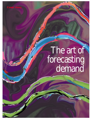# The art of forecasting demand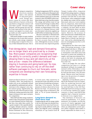Winning in competitive<br>
takes a fair amount<br>
of educated guess-<br>
work. Energy mar-<br>
keters cannot be certain that their electricity markets takes a fair amount of educated guesswork. Energy marfuture delivery of power at the price specified in a long-term contract will earn them a profit—because supply, demand, and the going rate may differ from expectations at the time the contract was signed. As a result, energy traders are only as good as the load forecasts they use.

With profit margins in many markets turning out to be as razor-thin as prices are volatile, some energy companies are taking steps to improve the accuracy of their demand forecasts. One is

Trading Arrangements (NETA; see box). For a time, market prices fluctuated wildly, between a low of minus \$360/MWh (which marketers had to pay to sell to the system) to plus \$70/MWh (which marketers had to pay to buy from the system). The energy and utilities team in Cap Gemini Ernst & Young's London office calculated that, in such a volatile environment, an improvement of 4% in the accuracy of a demand forecast could save the nation's electricity suppliers up to \$29 million on balancing costs alone.

Because anomalies in demand tend to balance each other out over time, long-term demand forecasts tend to be more accurate than short-term ones. Although the accuracy of shortterm forecasts has improved greatly

Post-deregulation, load and demand forecasting are no longer black arts practiced by a chosen few. More power companies are recognizing that the ability to correctly predict demand and load allowing them to buy and sell electricity at the best prices—means the difference between staying in business and going bankrupt. So now, rather than continuing to rely on off-the-shelf software packages to churn out forecasts, some companies are developing their own forecasting expertise in-house

American Electric Power Co. (AEP), Columbus, Ohio. The predictions its traders rely on are continually refined and updated by mathematicians and statisticians in the company's new market analysis group. Significantly, the group was one of the first pieces of the wholesale trading operation that AEP began setting up years ago to prepare for competition.

What AEP and other energy marketers realize is that a forward price quote based on a poor demand forecast could translate into a loss rather than a profit. For a good example of the unpredictability of supply, demand, and price, consider what happened last year when Great Britain instituted its New Electricity in recent years, their sensitivity to unexpected events still defies even the most advanced modeling techniques. Take Sept. 11 for instance. The three minutes of silence observed in Great Britain last Sept. 14 caused the one of the largest drops in demand (2,700 MW, or 7% of system demand) in history.

#### **Long-term demand vs. short-term load**

Complicating the task for energy traders is the fact that long-term demand forecasting and short-term load forecasting require totally different skills and inputs, says Nigel B. Lewis, a managing consultant in Cap Gemini Ernst &

### **Cover story**

Young's London office. Long-term demand forecasting requires a company to do scenario planning: what their portfolio will look like at some time in the future; what competitors might do; whether next winter will be warmer than usual; and so on. Lewis explains that, by comparison, short-term load forecasts are easier to get right because a company can base them on more precise information about customer behavior and shorter-term weather reports. However, the accuracy of short-term forecasts is bedeviled by the impact of major events—such as a Super Bowl or World Cup final telecast—that can be a dominating influence on consumption over five- to 10 minute intervals.

Deregulation has done more than make forecasting necessary; it has also changed who does it. When electricity sectors were regulated, utility monopolies used short-term load forecasts to ensure the reliability of supply, and long-term demand forecasts as the basis for planning and investing in new capacity from one to five years out.

That is no longer the case where competition has been or is being introduced. In Brazil, for example, the national utility Eléctrobras is now only interested in what demand will be well into the future, 10 to 20 years ahead. Shorter-term load forecasting is now the province of competitive power marketers.

Similarly, in Great Britain, prior to NETA the National Grid was responsible for producing forecasts and everyone else paid the same price for each half-hour in the UK Pool. Although load forecasting was used in structuring commercial supply contracts, it wasn't until NETA that suppliers had a financial incentive to forecast it on a regular basis.

The timeliness of forecasts can itself be problematic. U.S. power marketers, for example, say that the scarcity of timely aggregate load forecast data outside the five regions where an independent system operator (ISO) compiles them makes it nearly impossible for them to accu-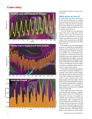## **Cover story**





rately predict market swings in near real-time.

#### **What about accuracy?**

In some sense, the above discussion of the relative difficulty of making long- and short-term forecasts is disingenuous. It ignores the first question that anyone inside or outside the energy industry would ask about any forecast: How accurate is it?

"The one thing you can guarantee about forecasts is that they will be wrong," says Lewis. The best that he has seen in Great Britain is a 2% error within any half-hour period. In other words, if the actual load is 100 MW, the best forecast is either 98 or 102 MW, but not closer.

If the inputs to your forecasting model are poor, it's difficult or impossible to come up with a good forecast no matter how good your model is. In Brazil, for example, the consumption data recorded on a minute-by-minute by Eléctrobras basis are irregular and full of missing points and outliers. A research team led by Professor Reinaldo Castro Souza of Pontificia Universidade Católica-Rio is developing corrective filters to produce continuous observations to serve as input to the models.

The accuracy of forecasts also depends on the type of customer doing the consuming. Lewis observes that residential loads are easier to forecast because of the sheer number of residential customers. If one customer does something strange, it has less impact. On the other hand, a large industrial customer may behave unpredictably enough to belie predictions,—for example, by generating its own electricity or adding an extra work shift.

Micro and macro factors also affect load and demand forecasts, explains Paul Corby, senior VP, Planalytics, Wayne, Pa. By way of example, he reminds that commercial electricity consumption falls in depressed real estate markets because there's no one in empty offices using power. During recessions, industrial usage also falls because if no one is buying hard goods, factories shut down. The reality is that there is more elasticity in the indus-